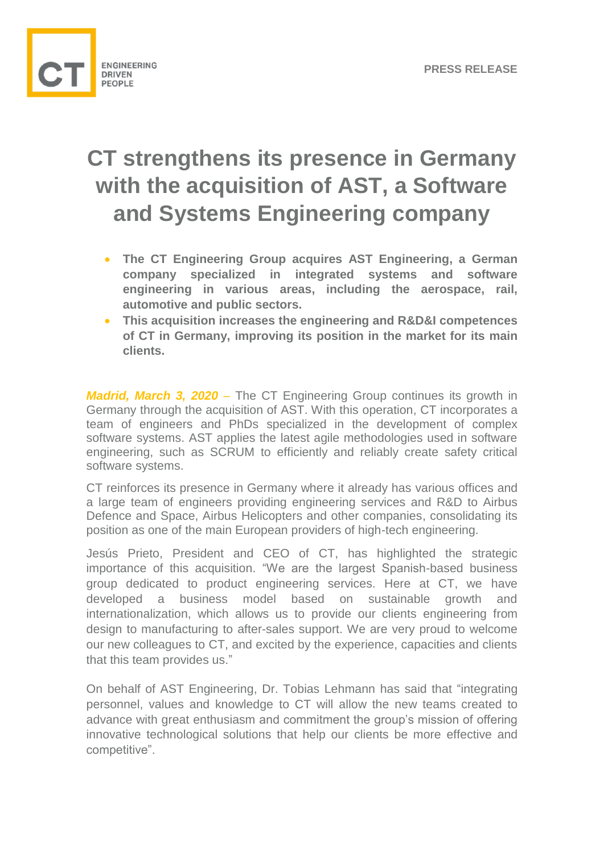

## **CT strengthens its presence in Germany with the acquisition of AST, a Software and Systems Engineering company**

- **The CT Engineering Group acquires AST Engineering, a German company specialized in integrated systems and software engineering in various areas, including the aerospace, rail, automotive and public sectors.**
- **This acquisition increases the engineering and R&D&I competences of CT in Germany, improving its position in the market for its main clients.**

*Madrid, March 3, 2020 –* The CT Engineering Group continues its growth in Germany through the acquisition of AST. With this operation, CT incorporates a team of engineers and PhDs specialized in the development of complex software systems. AST applies the latest agile methodologies used in software engineering, such as SCRUM to efficiently and reliably create safety critical software systems.

CT reinforces its presence in Germany where it already has various offices and a large team of engineers providing engineering services and R&D to Airbus Defence and Space, Airbus Helicopters and other companies, consolidating its position as one of the main European providers of high-tech engineering.

Jesús Prieto, President and CEO of CT, has highlighted the strategic importance of this acquisition. "We are the largest Spanish-based business group dedicated to product engineering services. Here at CT, we have developed a business model based on sustainable growth and internationalization, which allows us to provide our clients engineering from design to manufacturing to after-sales support. We are very proud to welcome our new colleagues to CT, and excited by the experience, capacities and clients that this team provides us."

On behalf of AST Engineering, Dr. Tobias Lehmann has said that "integrating personnel, values and knowledge to CT will allow the new teams created to advance with great enthusiasm and commitment the group's mission of offering innovative technological solutions that help our clients be more effective and competitive".